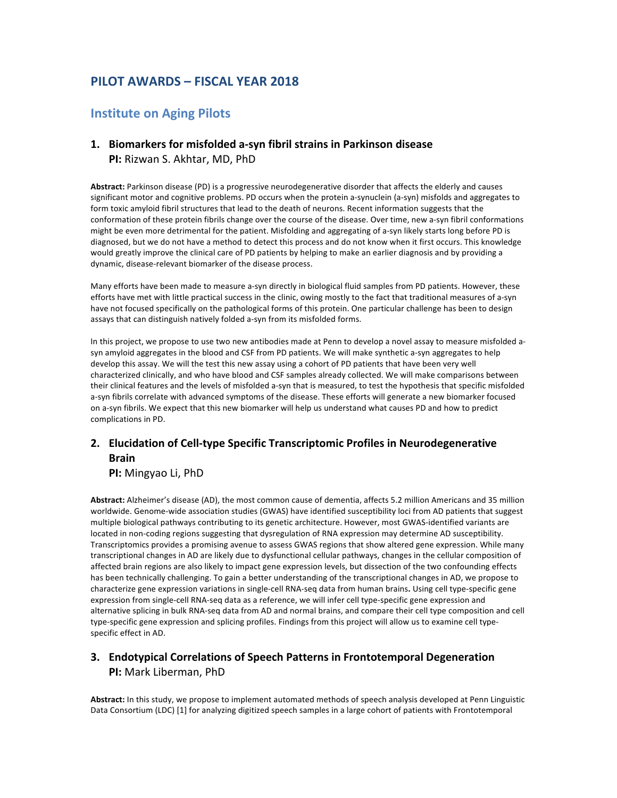# **PILOT AWARDS – FISCAL YEAR 2018**

## **Institute on Aging Pilots**

### 1. Biomarkers for misfolded a-syn fibril strains in Parkinson disease **PI:** Rizwan S. Akhtar, MD, PhD

Abstract: Parkinson disease (PD) is a progressive neurodegenerative disorder that affects the elderly and causes significant motor and cognitive problems. PD occurs when the protein a-synuclein (a-syn) misfolds and aggregates to form toxic amyloid fibril structures that lead to the death of neurons. Recent information suggests that the conformation of these protein fibrils change over the course of the disease. Over time, new a-syn fibril conformations might be even more detrimental for the patient. Misfolding and aggregating of a-syn likely starts long before PD is diagnosed, but we do not have a method to detect this process and do not know when it first occurs. This knowledge would greatly improve the clinical care of PD patients by helping to make an earlier diagnosis and by providing a dynamic, disease-relevant biomarker of the disease process.

Many efforts have been made to measure a-syn directly in biological fluid samples from PD patients. However, these efforts have met with little practical success in the clinic, owing mostly to the fact that traditional measures of a-syn have not focused specifically on the pathological forms of this protein. One particular challenge has been to design assays that can distinguish natively folded a-syn from its misfolded forms.

In this project, we propose to use two new antibodies made at Penn to develop a novel assay to measure misfolded asyn amyloid aggregates in the blood and CSF from PD patients. We will make synthetic a-syn aggregates to help develop this assay. We will the test this new assay using a cohort of PD patients that have been very well characterized clinically, and who have blood and CSF samples already collected. We will make comparisons between their clinical features and the levels of misfolded a-syn that is measured, to test the hypothesis that specific misfolded a-syn fibrils correlate with advanced symptoms of the disease. These efforts will generate a new biomarker focused on a-syn fibrils. We expect that this new biomarker will help us understand what causes PD and how to predict complications in PD.

### **2.** Elucidation of Cell-type Specific Transcriptomic Profiles in Neurodegenerative **Brain**

**PI:** Mingyao Li, PhD

Abstract: Alzheimer's disease (AD), the most common cause of dementia, affects 5.2 million Americans and 35 million worldwide. Genome-wide association studies (GWAS) have identified susceptibility loci from AD patients that suggest multiple biological pathways contributing to its genetic architecture. However, most GWAS-identified variants are located in non-coding regions suggesting that dysregulation of RNA expression may determine AD susceptibility. Transcriptomics provides a promising avenue to assess GWAS regions that show altered gene expression. While many transcriptional changes in AD are likely due to dysfunctional cellular pathways, changes in the cellular composition of affected brain regions are also likely to impact gene expression levels, but dissection of the two confounding effects has been technically challenging. To gain a better understanding of the transcriptional changes in AD, we propose to characterize gene expression variations in single-cell RNA-seq data from human brains. Using cell type-specific gene expression from single-cell RNA-seq data as a reference, we will infer cell type-specific gene expression and alternative splicing in bulk RNA-seq data from AD and normal brains, and compare their cell type composition and cell type-specific gene expression and splicing profiles. Findings from this project will allow us to examine cell typespecific effect in AD.

#### **3. Endotypical Correlations of Speech Patterns in Frontotemporal Degeneration PI:** Mark Liberman, PhD

Abstract: In this study, we propose to implement automated methods of speech analysis developed at Penn Linguistic Data Consortium (LDC) [1] for analyzing digitized speech samples in a large cohort of patients with Frontotemporal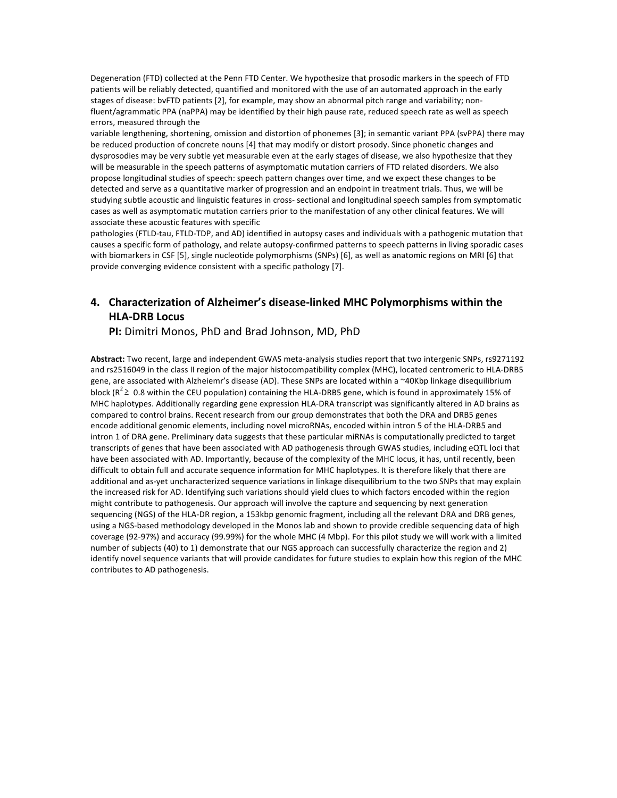Degeneration (FTD) collected at the Penn FTD Center. We hypothesize that prosodic markers in the speech of FTD patients will be reliably detected, quantified and monitored with the use of an automated approach in the early stages of disease: bvFTD patients [2], for example, may show an abnormal pitch range and variability; nonfluent/agrammatic PPA (naPPA) may be identified by their high pause rate, reduced speech rate as well as speech errors, measured through the

variable lengthening, shortening, omission and distortion of phonemes [3]; in semantic variant PPA (svPPA) there may be reduced production of concrete nouns [4] that may modify or distort prosody. Since phonetic changes and dysprosodies may be very subtle yet measurable even at the early stages of disease, we also hypothesize that they will be measurable in the speech patterns of asymptomatic mutation carriers of FTD related disorders. We also propose longitudinal studies of speech: speech pattern changes over time, and we expect these changes to be detected and serve as a quantitative marker of progression and an endpoint in treatment trials. Thus, we will be studying subtle acoustic and linguistic features in cross- sectional and longitudinal speech samples from symptomatic cases as well as asymptomatic mutation carriers prior to the manifestation of any other clinical features. We will associate these acoustic features with specific

pathologies (FTLD-tau, FTLD-TDP, and AD) identified in autopsy cases and individuals with a pathogenic mutation that causes a specific form of pathology, and relate autopsy-confirmed patterns to speech patterns in living sporadic cases with biomarkers in CSF [5], single nucleotide polymorphisms (SNPs) [6], as well as anatomic regions on MRI [6] that provide converging evidence consistent with a specific pathology [7].

#### **4. Characterization of Alzheimer's disease-linked MHC Polymorphisms within the HLA-DRB Locus**

**PI:** Dimitri Monos, PhD and Brad Johnson, MD, PhD

Abstract: Two recent, large and independent GWAS meta-analysis studies report that two intergenic SNPs, rs9271192 and rs2516049 in the class II region of the major histocompatibility complex (MHC), located centromeric to HLA-DRB5 gene, are associated with Alzheiemr's disease (AD). These SNPs are located within a ~40Kbp linkage disequilibrium block ( $R^2 \geq 0.8$  within the CEU population) containing the HLA-DRB5 gene, which is found in approximately 15% of MHC haplotypes. Additionally regarding gene expression HLA-DRA transcript was significantly altered in AD brains as compared to control brains. Recent research from our group demonstrates that both the DRA and DRB5 genes encode additional genomic elements, including novel microRNAs, encoded within intron 5 of the HLA-DRB5 and intron 1 of DRA gene. Preliminary data suggests that these particular miRNAs is computationally predicted to target transcripts of genes that have been associated with AD pathogenesis through GWAS studies, including eQTL loci that have been associated with AD. Importantly, because of the complexity of the MHC locus, it has, until recently, been difficult to obtain full and accurate sequence information for MHC haplotypes. It is therefore likely that there are additional and as-yet uncharacterized sequence variations in linkage disequilibrium to the two SNPs that may explain the increased risk for AD. Identifying such variations should yield clues to which factors encoded within the region might contribute to pathogenesis. Our approach will involve the capture and sequencing by next generation sequencing (NGS) of the HLA-DR region, a 153kbp genomic fragment, including all the relevant DRA and DRB genes, using a NGS-based methodology developed in the Monos lab and shown to provide credible sequencing data of high coverage (92-97%) and accuracy (99.99%) for the whole MHC (4 Mbp). For this pilot study we will work with a limited number of subjects (40) to 1) demonstrate that our NGS approach can successfully characterize the region and 2) identify novel sequence variants that will provide candidates for future studies to explain how this region of the MHC contributes to AD pathogenesis.